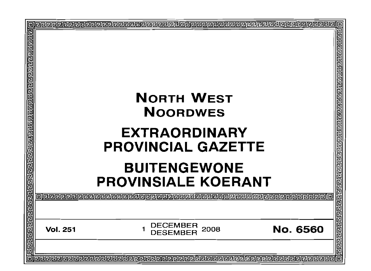| <u> बांबाचा नगवान नवान पारा नागवान नगवान नगवान नगवान नगवान नगवान नगवान पारा पा</u> | <b>NORTH WEST</b><br><b>NOORDWES</b><br><b>EXTRAORDINARY</b><br><b>PROVINCIAL GAZETTE</b><br><b>BUITENGEWONE</b><br><b>PROVINSIALE KOERANT</b> | ग्गायवयवागवागा गगगगगगगगगग |
|------------------------------------------------------------------------------------|------------------------------------------------------------------------------------------------------------------------------------------------|---------------------------|
|                                                                                    | oleeereeeeeeeeee                                                                                                                               | 同国国                       |
|                                                                                    |                                                                                                                                                | ī                         |
|                                                                                    | <b>DECEMBER</b><br>1<br><b>No. 6560</b><br><b>Vol. 251</b><br>2008<br><b>DESEMBER</b>                                                          | ⊡<br>elelelelel           |
|                                                                                    |                                                                                                                                                |                           |
| Iо                                                                                 |                                                                                                                                                |                           |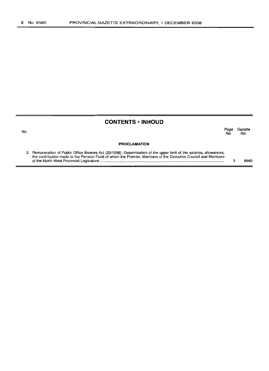No.

# **CONTENTS· INHOUD**

*Page Gazette* No. No.

#### **PROCLAMATION**

| 2 Remuneration of Public Office Bearers Act (20/1998): Determination of the upper limit of the salaries, allowances, |      |
|----------------------------------------------------------------------------------------------------------------------|------|
| the contribution made to the Pension Fund of which the Premier, Members of the Executive Council and Members         |      |
|                                                                                                                      | 6560 |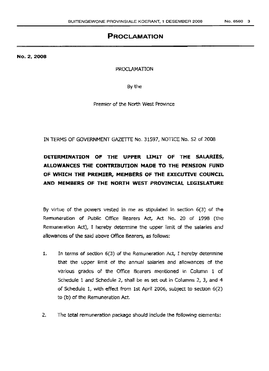# **PROCLAMATION**

No.2, 2008

PROCLAMATION

By the

Premier of the North West Province

IN TERMS OF GOVERNMENT GAZETTE No. 31597, NOTICE No. 52 of 2008

# **DETERMINATION OF THE UPPER LIMIT OF THE SALARIES, ALLOWANCES THE CONTRIBUTION MADE TO THE PENSION FUND OF WHICH THE PREMIER, MEMBERS OF THE EXECUTIVE COUNCIL AND MEMBERS OF THE NORTH WEST PROVINCIAL LEGISLATURE**

By virtue of the powers vested in me as stipulated in section 6(3) of the Remuneration of Public Office Bearers Act, Act No. 20 of 1998 (the Remuneration Act), I hereby determine the upper limit of the salaries and allowances of the said above Office Bearers, as follows:

- 1. In terms of section 6(3) of the Remuneration Act, I hereby determine that the upper limit of the annual salaries and allowances of the various grades of the Office Bearers mentioned in Column 1 of Schedule 1 and Schedule 2, shall be as set out in Columns 2, 3, and 4 of Schedule 1, with effect from ist April 2006, subject to section 6(2) to (b) of the Remuneration Act.
- 2. The total remuneration package should include the following elements: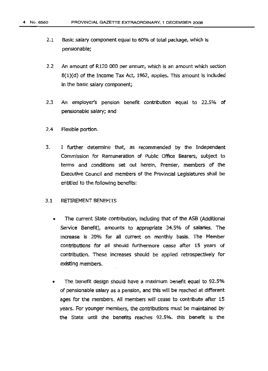- 2.1 Basic salary component equal to 60% of total package, which is pensionable;
- 2.2 An amount of R120 000 per annum, which is an amount which section 8(1)(d) of the Income Tax Act, 1962, applies. This amount is included in the basic salary component;
- 2.3 An employer's pension benefit contribution equal to 22.5% of pensionable salary; and
- 2.4 Flexible portion.
- 3. I further determine that, as recommended by the Independent Commission for Remuneration of Public Office Bearers, subject to terms and conditions set out herein, Premier, members of the Executive Council and members of the Provincial Legislatures shall be entitled to the following benefits:

#### 3.1 RETIREMENT BENEFITS

- The current State contribution, including that of the ASS (Additional Service Benefit), amounts to appropriate 34.5% of salaries. The increase is 20% for all current on monthly basis. The Member contributions for ali should furthermore cease after 15 years of contribution. These Increases should be applied retrospectively for existing members.
- The. benefit design should have a maximum benefit equal to 92.5% of pensionable salary as a pension, and this will be reached at different ages for the members. All members will cease to contribute after 15 years. For younger members, the contributions must be maintained by the State until the benefits reaches 92.5%. this benefit is the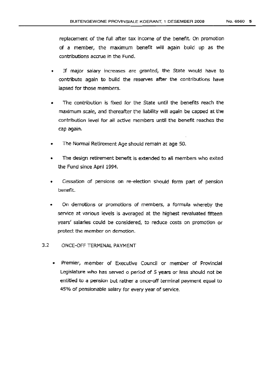replacement of the full after tax income of the benefit. On promotion of a member, the maximum benefit will again build up as the contributions accrue in the Fund.

- If major salary increases are granted, the State would have to contribute again to build the reserves after the contributions have lapsed for those members.
- The contribution is fixed for the State until the benefits reach the maximum scale, and thereafter the liability will again be capped at the contribution level for all active members until the benefit reaches the cap again.
- The Normal Retirement Age should remain at age 50.
- The design retirement benefit is extended to all members who exited the Fund since April 1994.
- Cessation of pensions on re-election should form part of pension benefit.
- On demotions or promotions of members, a formula whereby the service at various levels is averaged at the highest revaluated fifteen years' salaries could be considered, to reduce costs on promotion or protect the member on demotion.
- 3.2 ONCE-OFF TERMINAL PAYMENT
	- Premier, member of Executive Council or member of Provincial Legislature who has served o period of 5 years or less should not be entitled to a pension but rather a once-off terminal payment equal to 45% of pensionable salary for every year of service.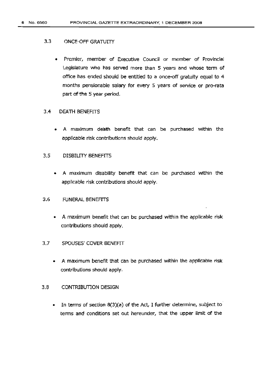#### 3.3 ONCE-OFF GRATUITY

• Premier, member of Executive Council or member of Provincial Legislature who has served more than 5 years and whose term of office has ended should be entitled to a once-off gratuity equal to 4 months pensionable salary for every 5 years of service or pro-rata part of the 5 year period.

#### 3.4 DEATH BENEFITS

• A maximum death benefit that can be purchased within the applicable risk contributions should apply.

### 3.5 DISBILTTY BENEFITS

• A maximum disability benefit that can be purchased within the applicable risk contributions should apply.

#### 3.6 FUNERAL BENEffiS

- A maximum benefit that can be purchased within the applicable risk contributions should apply.
- 3.7 SPOUSES' COVER BENEFIT
	- A maximum benefit that can be purchased Within the applicable risk contributions should apply.
- 3.8 CONTRIBUTION DESIGN
	- In terms of section  $8(3)(a)$  of the Act, I further determine, subject to terms and conditions set out hereunder, that the upper limit of the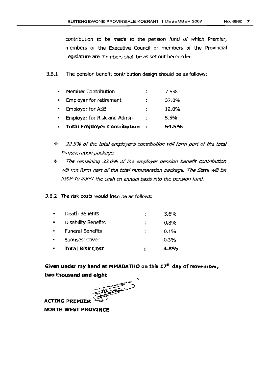contribution to be made to the pension fund of which Premier, members of the Executive Council or members of the Provincial Legislature are members shall be as set out hereunder:

3.8.1 The pension benefit contribution design should be as follows:

|                | <b>Total Employer Contribution</b> |    | 54.5% |
|----------------|------------------------------------|----|-------|
|                | Employer for Risk and Admin        | ٠  | 5.5%  |
|                | <b>Employer for ASB</b>            | Î. | 12.0% |
| $\blacksquare$ | Employer for retirement            | ׃  | 37.0% |
|                | Member Contribution                |    | 7.5%  |

- $\div$  22.5% of the total employer's contribution will form part of the total remuneration package.
- $\div$  The remaining 32.0% of the employer pension benefit contribution will not form part of the total remuneration package, The State will be liable to inject the cash on annual basis into the pension fund.
- 3.8.2 The risk costs would then be as follows:

|                | <b>Total Risk Cost</b>     | 4.8%    |
|----------------|----------------------------|---------|
|                | Spouses' Cover             | 0.3%    |
| $\blacksquare$ | <b>Funeral Benefits</b>    | $0.1\%$ |
|                | <b>Disability Benefits</b> | $0.8\%$ |
|                | Death Benefits             | 3.6%    |

**Given under my hand at MMABATHO on this 17th day of November,**

**two thousand and eight** "

**ACTING PREMIER** ).: **NORTH WEST PROVINCE**